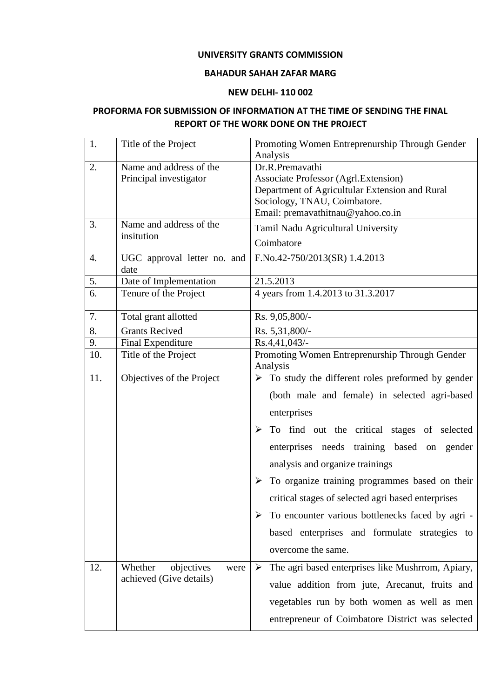### **UNIVERSITY GRANTS COMMISSION**

### **BAHADUR SAHAH ZAFAR MARG**

### **NEW DELHI- 110 002**

# **PROFORMA FOR SUBMISSION OF INFORMATION AT THE TIME OF SENDING THE FINAL REPORT OF THE WORK DONE ON THE PROJECT**

| 1.  | Title of the Project                                     | Promoting Women Entreprenurship Through Gender<br>Analysis                                                                                                                                                                                                                                                                                                                                                                                                                                                |  |  |  |
|-----|----------------------------------------------------------|-----------------------------------------------------------------------------------------------------------------------------------------------------------------------------------------------------------------------------------------------------------------------------------------------------------------------------------------------------------------------------------------------------------------------------------------------------------------------------------------------------------|--|--|--|
| 2.  | Name and address of the<br>Principal investigator        | Dr.R.Premavathi<br><b>Associate Professor (Agrl.Extension)</b><br>Department of Agricultular Extension and Rural<br>Sociology, TNAU, Coimbatore.<br>Email: premavathitnau@yahoo.co.in                                                                                                                                                                                                                                                                                                                     |  |  |  |
| 3.  | Name and address of the<br>insitution                    | Tamil Nadu Agricultural University<br>Coimbatore                                                                                                                                                                                                                                                                                                                                                                                                                                                          |  |  |  |
| 4.  | UGC approval letter no. and<br>date                      | F.No.42-750/2013(SR) 1.4.2013                                                                                                                                                                                                                                                                                                                                                                                                                                                                             |  |  |  |
| 5.  | Date of Implementation                                   | 21.5.2013                                                                                                                                                                                                                                                                                                                                                                                                                                                                                                 |  |  |  |
| 6.  | Tenure of the Project                                    | 4 years from 1.4.2013 to 31.3.2017                                                                                                                                                                                                                                                                                                                                                                                                                                                                        |  |  |  |
| 7.  | Total grant allotted                                     | Rs. 9,05,800/-                                                                                                                                                                                                                                                                                                                                                                                                                                                                                            |  |  |  |
| 8.  | <b>Grants Recived</b>                                    | Rs. 5,31,800/-                                                                                                                                                                                                                                                                                                                                                                                                                                                                                            |  |  |  |
| 9.  | Final Expenditure                                        | Rs.4,41,043/-                                                                                                                                                                                                                                                                                                                                                                                                                                                                                             |  |  |  |
| 10. | Title of the Project                                     | Promoting Women Entreprenurship Through Gender<br>Analysis                                                                                                                                                                                                                                                                                                                                                                                                                                                |  |  |  |
| 11. | Objectives of the Project                                | $\triangleright$ To study the different roles preformed by gender<br>(both male and female) in selected agri-based<br>enterprises<br>To find out the critical stages of selected<br>enterprises needs training based on gender<br>analysis and organize trainings<br>To organize training programmes based on their<br>➤<br>critical stages of selected agri based enterprises<br>To encounter various bottlenecks faced by agri -<br>based enterprises and formulate strategies to<br>overcome the same. |  |  |  |
| 12. | Whether<br>objectives<br>were<br>achieved (Give details) | The agri based enterprises like Mushrrom, Apiary,<br>➤<br>value addition from jute, Arecanut, fruits and<br>vegetables run by both women as well as men<br>entrepreneur of Coimbatore District was selected                                                                                                                                                                                                                                                                                               |  |  |  |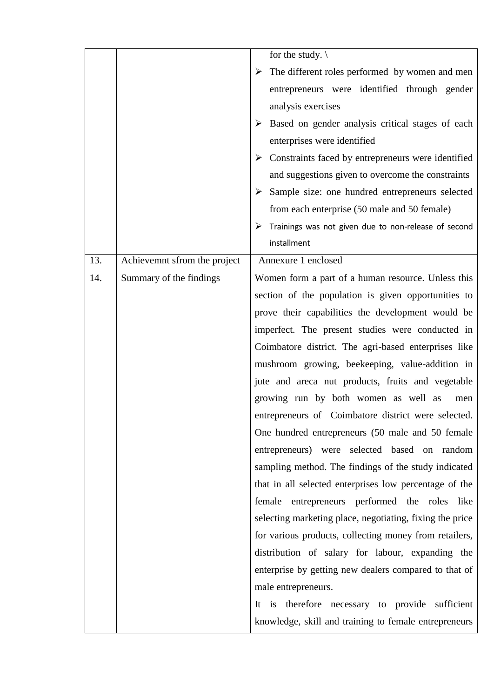|     |                              | for the study. $\setminus$                               |  |  |  |  |
|-----|------------------------------|----------------------------------------------------------|--|--|--|--|
|     |                              | The different roles performed by women and men           |  |  |  |  |
|     |                              | entrepreneurs were identified through gender             |  |  |  |  |
|     |                              | analysis exercises                                       |  |  |  |  |
|     |                              | Based on gender analysis critical stages of each<br>➤    |  |  |  |  |
|     |                              | enterprises were identified                              |  |  |  |  |
|     |                              | Constraints faced by entrepreneurs were identified<br>➤  |  |  |  |  |
|     |                              | and suggestions given to overcome the constraints        |  |  |  |  |
|     |                              | Sample size: one hundred entrepreneurs selected<br>➤     |  |  |  |  |
|     |                              | from each enterprise (50 male and 50 female)             |  |  |  |  |
|     |                              | Trainings was not given due to non-release of second     |  |  |  |  |
|     |                              | installment                                              |  |  |  |  |
| 13. | Achievemnt sfrom the project | Annexure 1 enclosed                                      |  |  |  |  |
| 14. | Summary of the findings      | Women form a part of a human resource. Unless this       |  |  |  |  |
|     |                              | section of the population is given opportunities to      |  |  |  |  |
|     |                              | prove their capabilities the development would be        |  |  |  |  |
|     |                              | imperfect. The present studies were conducted in         |  |  |  |  |
|     |                              | Coimbatore district. The agri-based enterprises like     |  |  |  |  |
|     |                              | mushroom growing, beekeeping, value-addition in          |  |  |  |  |
|     |                              | jute and areca nut products, fruits and vegetable        |  |  |  |  |
|     |                              | growing run by both women as well as<br>men              |  |  |  |  |
|     |                              | entrepreneurs of Coimbatore district were selected.      |  |  |  |  |
|     |                              | One hundred entrepreneurs (50 male and 50 female         |  |  |  |  |
|     |                              | entrepreneurs) were selected based on random             |  |  |  |  |
|     |                              | sampling method. The findings of the study indicated     |  |  |  |  |
|     |                              | that in all selected enterprises low percentage of the   |  |  |  |  |
|     |                              | female entrepreneurs performed the roles<br>like         |  |  |  |  |
|     |                              | selecting marketing place, negotiating, fixing the price |  |  |  |  |
|     |                              | for various products, collecting money from retailers,   |  |  |  |  |
|     |                              | distribution of salary for labour, expanding the         |  |  |  |  |
|     |                              | enterprise by getting new dealers compared to that of    |  |  |  |  |
|     |                              | male entrepreneurs.                                      |  |  |  |  |
|     |                              | It is therefore necessary to provide<br>sufficient       |  |  |  |  |
|     |                              | knowledge, skill and training to female entrepreneurs    |  |  |  |  |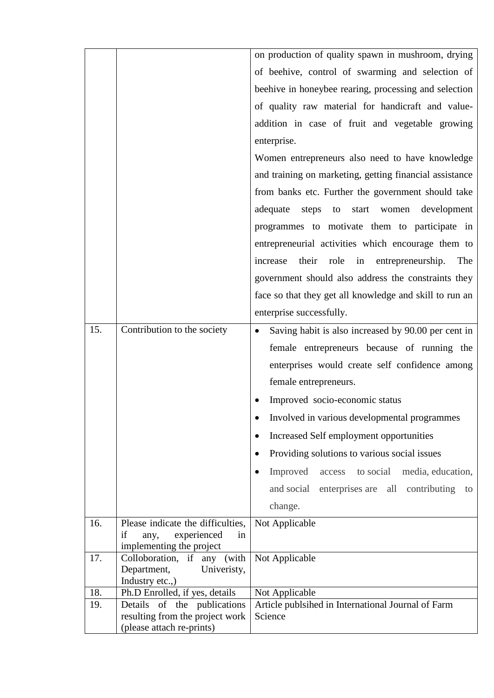|            |                                                               | on production of quality spawn in mushroom, drying                   |  |  |  |  |
|------------|---------------------------------------------------------------|----------------------------------------------------------------------|--|--|--|--|
|            |                                                               | of beehive, control of swarming and selection of                     |  |  |  |  |
|            |                                                               |                                                                      |  |  |  |  |
|            |                                                               | beehive in honeybee rearing, processing and selection                |  |  |  |  |
|            |                                                               | of quality raw material for handicraft and value-                    |  |  |  |  |
|            |                                                               | addition in case of fruit and vegetable growing                      |  |  |  |  |
|            |                                                               | enterprise.                                                          |  |  |  |  |
|            |                                                               | Women entrepreneurs also need to have knowledge                      |  |  |  |  |
|            |                                                               | and training on marketing, getting financial assistance              |  |  |  |  |
|            |                                                               | from banks etc. Further the government should take                   |  |  |  |  |
|            |                                                               | adequate<br>steps to<br>start<br>development<br>women                |  |  |  |  |
|            |                                                               | programmes to motivate them to participate in                        |  |  |  |  |
|            |                                                               |                                                                      |  |  |  |  |
|            |                                                               | entrepreneurial activities which encourage them to                   |  |  |  |  |
|            |                                                               | their<br>role<br>increase<br>in<br>entrepreneurship.<br>The          |  |  |  |  |
|            |                                                               | government should also address the constraints they                  |  |  |  |  |
|            |                                                               | face so that they get all knowledge and skill to run an              |  |  |  |  |
|            |                                                               | enterprise successfully.                                             |  |  |  |  |
| 15.        | Contribution to the society                                   | Saving habit is also increased by 90.00 per cent in<br>$\bullet$     |  |  |  |  |
|            |                                                               | female entrepreneurs because of running the                          |  |  |  |  |
|            |                                                               | enterprises would create self confidence among                       |  |  |  |  |
|            |                                                               | female entrepreneurs.                                                |  |  |  |  |
|            |                                                               | Improved socio-economic status                                       |  |  |  |  |
|            |                                                               | Involved in various developmental programmes                         |  |  |  |  |
|            |                                                               | Increased Self employment opportunities                              |  |  |  |  |
|            |                                                               |                                                                      |  |  |  |  |
|            |                                                               | Providing solutions to various social issues                         |  |  |  |  |
|            |                                                               | to social<br>media, education,<br>Improved<br>access                 |  |  |  |  |
|            |                                                               | and social<br>enterprises are<br>all<br>contributing<br>to           |  |  |  |  |
|            |                                                               | change.                                                              |  |  |  |  |
| 16.        | Please indicate the difficulties,                             | Not Applicable                                                       |  |  |  |  |
|            | experienced<br>if<br>any,<br>in                               |                                                                      |  |  |  |  |
| 17.        | implementing the project<br>Colloboration, if any (with       | Not Applicable                                                       |  |  |  |  |
|            | Department,<br>Univeristy,                                    |                                                                      |  |  |  |  |
|            | Industry etc.,)                                               |                                                                      |  |  |  |  |
| 18.<br>19. | Ph.D Enrolled, if yes, details<br>Details of the publications | Not Applicable<br>Article publsihed in International Journal of Farm |  |  |  |  |
|            | resulting from the project work                               | Science                                                              |  |  |  |  |
|            | (please attach re-prints)                                     |                                                                      |  |  |  |  |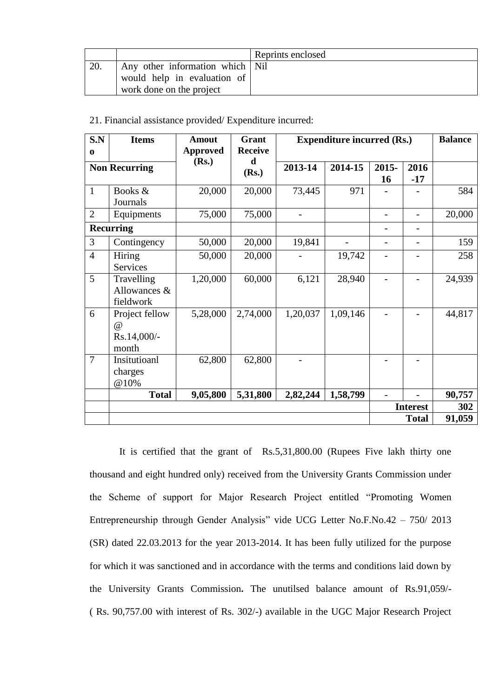|     |                                   | Reprints enclosed |
|-----|-----------------------------------|-------------------|
| 20. | Any other information which   Nil |                   |
|     | would help in evaluation of       |                   |
|     | work done on the project          |                   |

| S.N<br>$\bf{0}$      | <b>Items</b>                                 | <b>Amout</b><br><b>Approved</b> | <b>Grant</b><br><b>Receive</b>   | <b>Expenditure incurred (Rs.)</b> |          |                          |                 | <b>Balance</b> |
|----------------------|----------------------------------------------|---------------------------------|----------------------------------|-----------------------------------|----------|--------------------------|-----------------|----------------|
| <b>Non Recurring</b> |                                              | (Rs.)                           | d<br>2013-14<br>2014-15<br>(Rs.) |                                   |          | $2015 -$<br><b>16</b>    | 2016<br>$-17$   |                |
| $\mathbf{1}$         | Books &<br>Journals                          | 20,000                          | 20,000                           | 73,445                            | 971      |                          |                 | 584            |
| $\overline{2}$       | Equipments                                   | 75,000                          | 75,000                           |                                   |          |                          |                 | 20,000         |
|                      | <b>Recurring</b>                             |                                 |                                  |                                   |          |                          |                 |                |
| 3                    | Contingency                                  | 50,000                          | 20,000                           | 19,841                            |          | $\overline{\phantom{0}}$ |                 | 159            |
| $\overline{4}$       | Hiring<br>Services                           | 50,000                          | 20,000                           |                                   | 19,742   |                          |                 | 258            |
| 5                    | Travelling<br>Allowances &<br>fieldwork      | 1,20,000                        | 60,000                           | 6,121                             | 28,940   |                          |                 | 24,939         |
| 6                    | Project fellow<br>@)<br>Rs.14,000/-<br>month | 5,28,000                        | 2,74,000                         | 1,20,037                          | 1,09,146 |                          |                 | 44,817         |
| $\overline{7}$       | Insitutioanl<br>charges<br>@10%              | 62,800                          | 62,800                           |                                   |          |                          |                 |                |
|                      | <b>Total</b>                                 | 9,05,800                        | 5,31,800                         | 2,82,244                          | 1,58,799 |                          |                 | 90,757         |
|                      |                                              |                                 |                                  |                                   |          |                          | <b>Interest</b> | 302            |
|                      |                                              |                                 |                                  |                                   |          |                          | <b>Total</b>    | 91,059         |

21. Financial assistance provided/ Expenditure incurred:

It is certified that the grant of Rs.5,31,800.00 (Rupees Five lakh thirty one thousand and eight hundred only) received from the University Grants Commission under the Scheme of support for Major Research Project entitled "Promoting Women Entrepreneurship through Gender Analysis" vide UCG Letter No.F.No.42 – 750/ 2013 (SR) dated 22.03.2013 for the year 2013-2014. It has been fully utilized for the purpose for which it was sanctioned and in accordance with the terms and conditions laid down by the University Grants Commission**.** The unutilsed balance amount of Rs.91,059/- ( Rs. 90,757.00 with interest of Rs. 302/-) available in the UGC Major Research Project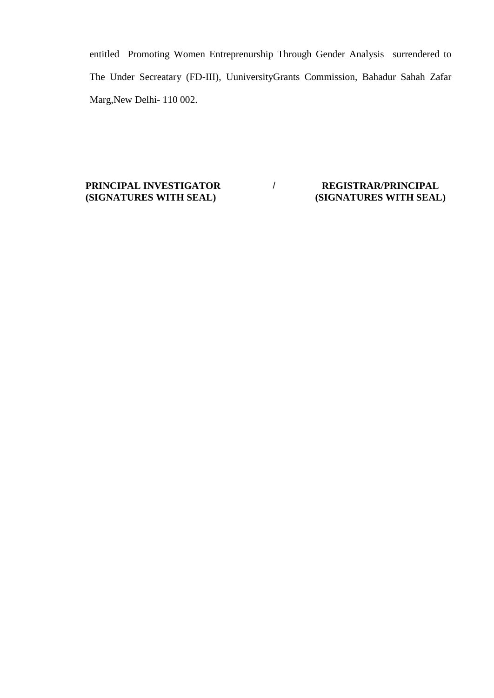entitled Promoting Women Entreprenurship Through Gender Analysis surrendered to The Under Secreatary (FD-III), UuniversityGrants Commission, Bahadur Sahah Zafar Marg,New Delhi- 110 002.

**PRINCIPAL INVESTIGATOR (SIGNATURES WITH SEAL)**

# / **REGISTRAR/PRINCIPAL (SIGNATURES WITH SEAL)**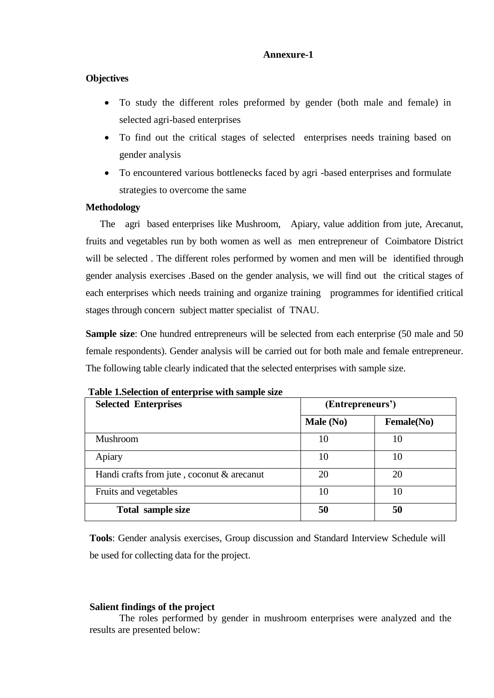### **Annexure-1**

### **Objectives**

- To study the different roles preformed by gender (both male and female) in selected agri-based enterprises
- To find out the critical stages of selected enterprises needs training based on gender analysis
- To encountered various bottlenecks faced by agri -based enterprises and formulate strategies to overcome the same

### **Methodology**

 The agri based enterprises like Mushroom, Apiary, value addition from jute, Arecanut, fruits and vegetables run by both women as well as men entrepreneur of Coimbatore District will be selected . The different roles performed by women and men will be identified through gender analysis exercises .Based on the gender analysis, we will find out the critical stages of each enterprises which needs training and organize training programmes for identified critical stages through concern subject matter specialist of TNAU.

**Sample size**: One hundred entrepreneurs will be selected from each enterprise (50 male and 50 female respondents). Gender analysis will be carried out for both male and female entrepreneur. The following table clearly indicated that the selected enterprises with sample size.

| <b>Selected Enterprises</b>                | (Entrepreneurs') |                    |  |
|--------------------------------------------|------------------|--------------------|--|
|                                            | Male (No)        | <b>Female</b> (No) |  |
| <b>Mushroom</b>                            | 10               | 10                 |  |
| Apiary                                     | 10               | 10                 |  |
| Handi crafts from jute, coconut & arecanut | 20               | 20                 |  |
| Fruits and vegetables                      | 10               | 10                 |  |
| Total sample size                          | 50               | 50                 |  |

**Table 1.Selection of enterprise with sample size**

**Tools**: Gender analysis exercises, Group discussion and Standard Interview Schedule will be used for collecting data for the project.

### **Salient findings of the project**

The roles performed by gender in mushroom enterprises were analyzed and the results are presented below: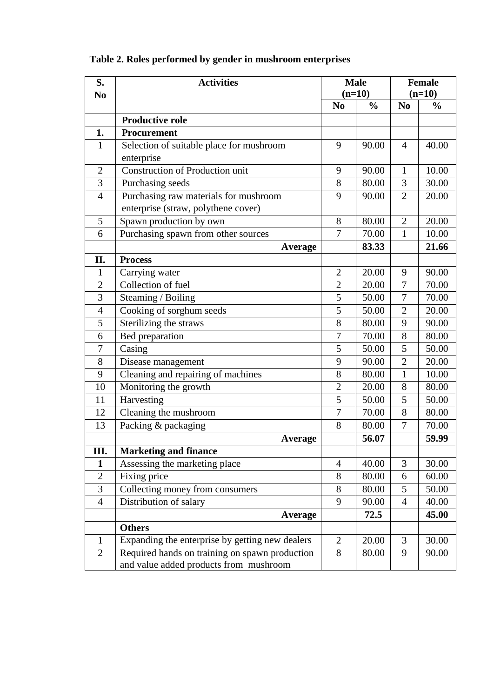| S.             | <b>Activities</b>                                                                        | <b>Male</b>    |               | <b>Female</b>  |               |
|----------------|------------------------------------------------------------------------------------------|----------------|---------------|----------------|---------------|
| N <sub>0</sub> |                                                                                          | $(n=10)$       |               | $(n=10)$       |               |
|                |                                                                                          | N <sub>0</sub> | $\frac{0}{0}$ | N <sub>0</sub> | $\frac{0}{0}$ |
|                | <b>Productive role</b>                                                                   |                |               |                |               |
| 1.             | <b>Procurement</b>                                                                       |                |               |                |               |
| $\mathbf{1}$   | Selection of suitable place for mushroom                                                 | 9              | 90.00         | 4              | 40.00         |
|                | enterprise                                                                               |                |               |                |               |
| $\overline{2}$ | Construction of Production unit                                                          | 9              | 90.00         | $\mathbf{1}$   | 10.00         |
| 3              | Purchasing seeds                                                                         | 8              | 80.00         | 3              | 30.00         |
| $\overline{4}$ | Purchasing raw materials for mushroom                                                    | 9              | 90.00         | $\overline{2}$ | 20.00         |
|                | enterprise (straw, polythene cover)                                                      |                |               |                |               |
| 5              | Spawn production by own                                                                  | 8              | 80.00         | $\overline{2}$ | 20.00         |
| 6              | Purchasing spawn from other sources                                                      | $\overline{7}$ | 70.00         | $\mathbf{1}$   | 10.00         |
|                | Average                                                                                  |                | 83.33         |                | 21.66         |
| II.            | <b>Process</b>                                                                           |                |               |                |               |
| 1              | Carrying water                                                                           | $\overline{2}$ | 20.00         | 9              | 90.00         |
| $\overline{2}$ | Collection of fuel                                                                       | $\overline{2}$ | 20.00         | 7              | 70.00         |
| 3              | Steaming / Boiling                                                                       | 5              | 50.00         | 7              | 70.00         |
| $\overline{4}$ | Cooking of sorghum seeds                                                                 | $\overline{5}$ | 50.00         | $\overline{2}$ | 20.00         |
| 5              | Sterilizing the straws                                                                   | 8              | 80.00         | 9              | 90.00         |
| 6              | Bed preparation                                                                          | $\overline{7}$ | 70.00         | 8              | 80.00         |
| 7              | Casing                                                                                   | 5              | 50.00         | 5              | 50.00         |
| 8              | Disease management                                                                       | 9              | 90.00         | $\overline{2}$ | 20.00         |
| 9              | Cleaning and repairing of machines                                                       | 8              | 80.00         | $\mathbf{1}$   | 10.00         |
| 10             | Monitoring the growth                                                                    | $\overline{2}$ | 20.00         | 8              | 80.00         |
| 11             | Harvesting                                                                               | $\overline{5}$ | 50.00         | 5              | 50.00         |
| 12             | Cleaning the mushroom                                                                    | 7              | 70.00         | 8              | 80.00         |
| 13             | Packing & packaging                                                                      | 8              | 80.00         | $\overline{7}$ | 70.00         |
|                | Average                                                                                  |                | 56.07         |                | 59.99         |
| III.           | <b>Marketing and finance</b>                                                             |                |               |                |               |
| 1              | Assessing the marketing place                                                            | $\overline{4}$ | 40.00         | 3              | 30.00         |
| $\overline{2}$ | Fixing price                                                                             | 8              | 80.00         | 6              | 60.00         |
| 3              | Collecting money from consumers                                                          | 8              | 80.00         | 5              | 50.00         |
| $\overline{4}$ | Distribution of salary                                                                   | 9              | 90.00         | $\overline{4}$ | 40.00         |
|                | <b>Average</b>                                                                           |                | 72.5          |                | 45.00         |
|                | <b>Others</b>                                                                            |                |               |                |               |
| 1              | Expanding the enterprise by getting new dealers                                          | $\overline{2}$ | 20.00         | 3              | 30.00         |
| $\overline{2}$ | Required hands on training on spawn production<br>and value added products from mushroom | 8              | 80.00         | 9              | 90.00         |

# **Table 2. Roles performed by gender in mushroom enterprises**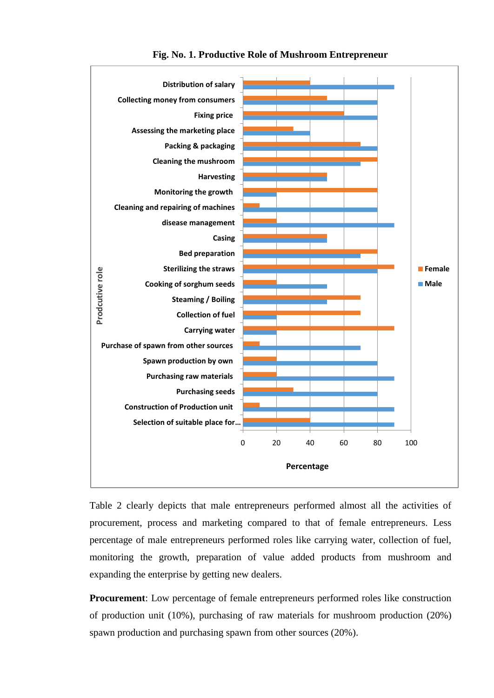

**Fig. No. 1. Productive Role of Mushroom Entrepreneur**

Table 2 clearly depicts that male entrepreneurs performed almost all the activities of procurement, process and marketing compared to that of female entrepreneurs. Less percentage of male entrepreneurs performed roles like carrying water, collection of fuel, monitoring the growth, preparation of value added products from mushroom and expanding the enterprise by getting new dealers.

**Procurement**: Low percentage of female entrepreneurs performed roles like construction of production unit (10%), purchasing of raw materials for mushroom production (20%) spawn production and purchasing spawn from other sources (20%).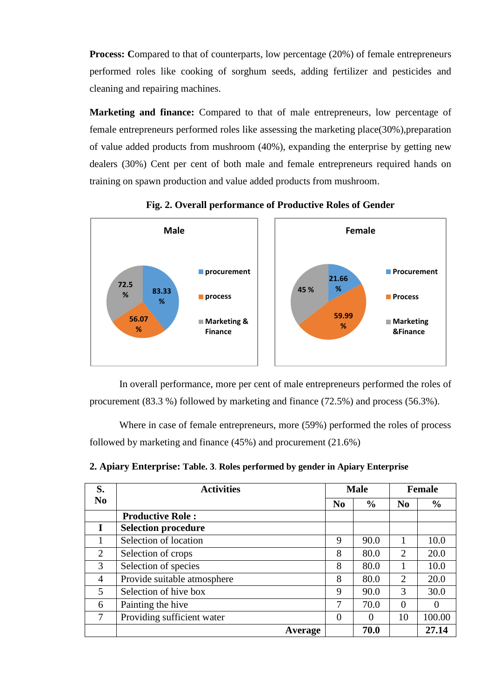**Process:** Compared to that of counterparts, low percentage (20%) of female entrepreneurs performed roles like cooking of sorghum seeds, adding fertilizer and pesticides and cleaning and repairing machines.

**Marketing and finance:** Compared to that of male entrepreneurs, low percentage of female entrepreneurs performed roles like assessing the marketing place(30%),preparation of value added products from mushroom (40%), expanding the enterprise by getting new dealers (30%) Cent per cent of both male and female entrepreneurs required hands on training on spawn production and value added products from mushroom.



**Fig. 2. Overall performance of Productive Roles of Gender**

In overall performance, more per cent of male entrepreneurs performed the roles of procurement (83.3 %) followed by marketing and finance (72.5%) and process (56.3%).

Where in case of female entrepreneurs, more (59%) performed the roles of process followed by marketing and finance (45%) and procurement (21.6%)

| S.             | <b>Activities</b>           |                | <b>Male</b>   |                | <b>Female</b> |
|----------------|-----------------------------|----------------|---------------|----------------|---------------|
| N <sub>0</sub> |                             | N <sub>0</sub> | $\frac{0}{0}$ | N <sub>0</sub> | $\frac{6}{9}$ |
|                | <b>Productive Role:</b>     |                |               |                |               |
| I              | <b>Selection procedure</b>  |                |               |                |               |
| 1              | Selection of location       | 9              | 90.0          |                | 10.0          |
| 2              | Selection of crops          | 8              | 80.0          | 2              | 20.0          |
| 3              | Selection of species        | 8              | 80.0          |                | 10.0          |
| 4              | Provide suitable atmosphere | 8              | 80.0          | 2              | 20.0          |
| 5              | Selection of hive box       | 9              | 90.0          | 3              | 30.0          |
| 6              | Painting the hive           | 7              | 70.0          | $\theta$       | $\Omega$      |
| 7              | Providing sufficient water  | 0              | 0             | 10             | 100.00        |
|                | Average                     |                | 70.0          |                | 27.14         |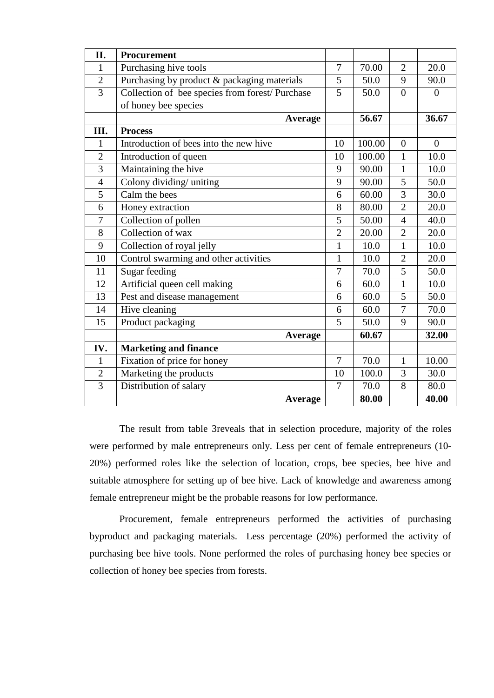| II.              | Procurement                                     |                |        |                |                |
|------------------|-------------------------------------------------|----------------|--------|----------------|----------------|
| $\mathbf{1}$     | Purchasing hive tools                           | $\overline{7}$ | 70.00  | $\overline{2}$ | 20.0           |
| $\overline{2}$   | Purchasing by product & packaging materials     | 5              | 50.0   | 9              | 90.0           |
| $\overline{3}$   | Collection of bee species from forest/ Purchase | 5              | 50.0   | $\overline{0}$ | $\theta$       |
|                  | of honey bee species                            |                |        |                |                |
|                  | <b>Average</b>                                  |                | 56.67  |                | 36.67          |
| III.             | <b>Process</b>                                  |                |        |                |                |
| $\mathbf{1}$     | Introduction of bees into the new hive          | 10             | 100.00 | $\mathbf{0}$   | $\overline{0}$ |
| $\overline{2}$   | Introduction of queen                           | 10             | 100.00 | $\mathbf{1}$   | 10.0           |
| 3                | Maintaining the hive                            | 9              | 90.00  | $\mathbf{1}$   | 10.0           |
| $\overline{4}$   | Colony dividing/ uniting                        | 9              | 90.00  | 5              | 50.0           |
| $\overline{5}$   | Calm the bees                                   | 6              | 60.00  | $\overline{3}$ | 30.0           |
| 6                | Honey extraction                                | 8              | 80.00  | $\overline{2}$ | 20.0           |
| $\boldsymbol{7}$ | Collection of pollen                            | 5              | 50.00  | $\overline{4}$ | 40.0           |
| 8                | Collection of wax                               | $\overline{2}$ | 20.00  | $\overline{2}$ | 20.0           |
| 9                | Collection of royal jelly                       | $\mathbf{1}$   | 10.0   | $\mathbf{1}$   | 10.0           |
| 10               | Control swarming and other activities           | $\mathbf{1}$   | 10.0   | $\overline{2}$ | 20.0           |
| 11               | Sugar feeding                                   | $\overline{7}$ | 70.0   | 5              | 50.0           |
| 12               | Artificial queen cell making                    | 6              | 60.0   | $\mathbf{1}$   | 10.0           |
| 13               | Pest and disease management                     | 6              | 60.0   | 5              | 50.0           |
| 14               | Hive cleaning                                   | 6              | 60.0   | $\overline{7}$ | 70.0           |
| 15               | Product packaging                               | 5              | 50.0   | 9              | 90.0           |
|                  | Average                                         |                | 60.67  |                | 32.00          |
| IV.              | <b>Marketing and finance</b>                    |                |        |                |                |
| $\mathbf{1}$     | Fixation of price for honey                     | $\overline{7}$ | 70.0   | $\mathbf{1}$   | 10.00          |
| $\overline{2}$   | Marketing the products                          | 10             | 100.0  | 3              | 30.0           |
| 3                | Distribution of salary                          | 7              | 70.0   | 8              | 80.0           |
|                  | <b>Average</b>                                  |                | 80.00  |                | 40.00          |

The result from table 3reveals that in selection procedure, majority of the roles were performed by male entrepreneurs only. Less per cent of female entrepreneurs (10- 20%) performed roles like the selection of location, crops, bee species, bee hive and suitable atmosphere for setting up of bee hive. Lack of knowledge and awareness among female entrepreneur might be the probable reasons for low performance.

Procurement, female entrepreneurs performed the activities of purchasing byproduct and packaging materials. Less percentage (20%) performed the activity of purchasing bee hive tools. None performed the roles of purchasing honey bee species or collection of honey bee species from forests.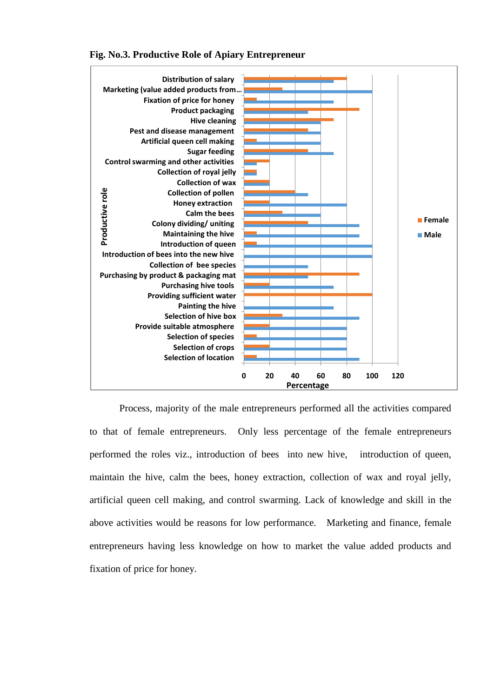

**Fig. No.3. Productive Role of Apiary Entrepreneur**

Process, majority of the male entrepreneurs performed all the activities compared to that of female entrepreneurs. Only less percentage of the female entrepreneurs performed the roles viz., introduction of bees into new hive, introduction of queen, maintain the hive, calm the bees, honey extraction, collection of wax and royal jelly, artificial queen cell making, and control swarming. Lack of knowledge and skill in the above activities would be reasons for low performance. Marketing and finance, female entrepreneurs having less knowledge on how to market the value added products and fixation of price for honey.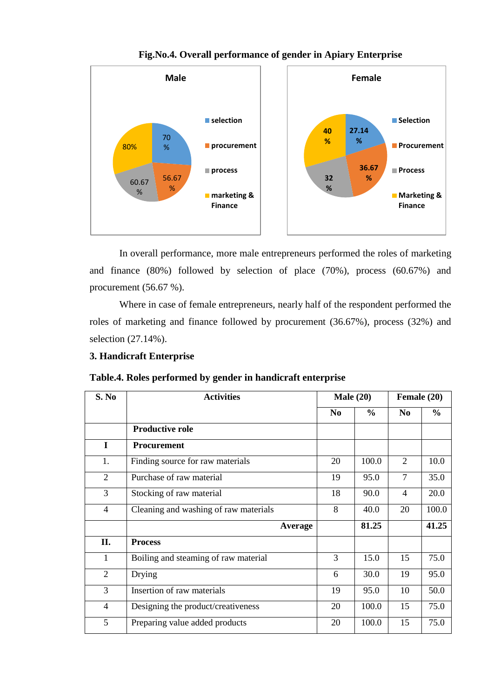

**Fig.No.4. Overall performance of gender in Apiary Enterprise**

In overall performance, more male entrepreneurs performed the roles of marketing and finance (80%) followed by selection of place (70%), process (60.67%) and procurement (56.67 %).

Where in case of female entrepreneurs, nearly half of the respondent performed the roles of marketing and finance followed by procurement (36.67%), process (32%) and selection (27.14%).

### **3. Handicraft Enterprise**

**Table.4. Roles performed by gender in handicraft enterprise** 

| S. No          | <b>Activities</b>                     | Male $(20)$    |               | Female (20)    |               |  |
|----------------|---------------------------------------|----------------|---------------|----------------|---------------|--|
|                |                                       | N <sub>0</sub> | $\frac{6}{6}$ | N <sub>0</sub> | $\frac{6}{6}$ |  |
|                | <b>Productive role</b>                |                |               |                |               |  |
| $\bf{I}$       | <b>Procurement</b>                    |                |               |                |               |  |
| 1.             | Finding source for raw materials      | 20             | 100.0         | $\overline{2}$ | 10.0          |  |
| $\overline{2}$ | Purchase of raw material              | 19             | 95.0          | $\overline{7}$ | 35.0          |  |
| 3              | Stocking of raw material              | 18             | 90.0          | 4              | 20.0          |  |
| 4              | Cleaning and washing of raw materials | 8              | 40.0          | 20             | 100.0         |  |
|                | Average                               |                | 81.25         |                | 41.25         |  |
| II.            | <b>Process</b>                        |                |               |                |               |  |
| $\mathbf{1}$   | Boiling and steaming of raw material  | 3              | 15.0          | 15             | 75.0          |  |
| $\overline{2}$ | Drying                                | 6              | 30.0          | 19             | 95.0          |  |
| 3              | Insertion of raw materials            | 19             | 95.0          | 10             | 50.0          |  |
| 4              | Designing the product/creativeness    | 20             | 100.0         | 15             | 75.0          |  |
| 5              | Preparing value added products        | 20             | 100.0         | 15             | 75.0          |  |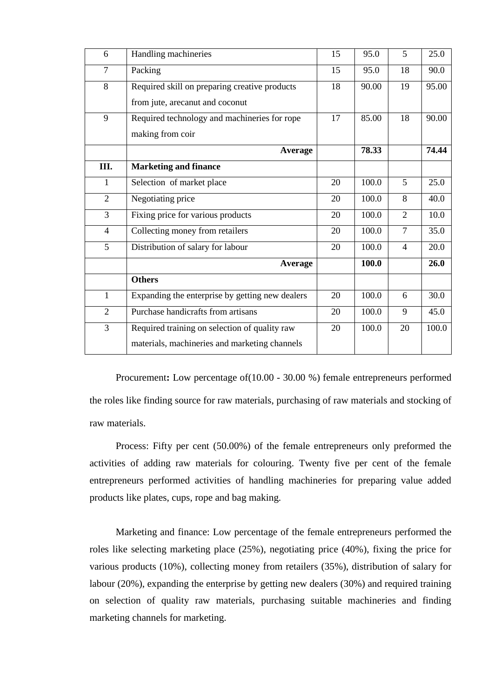| 6              | Handling machineries                            | 15 | 95.0  | 5              | 25.0  |
|----------------|-------------------------------------------------|----|-------|----------------|-------|
| 7              | Packing                                         | 15 | 95.0  | 18             | 90.0  |
| 8              | Required skill on preparing creative products   | 18 | 90.00 | 19             | 95.00 |
|                | from jute, arecanut and coconut                 |    |       |                |       |
| 9              | Required technology and machineries for rope    | 17 | 85.00 | 18             | 90.00 |
|                | making from coir                                |    |       |                |       |
|                | <b>Average</b>                                  |    | 78.33 |                | 74.44 |
| III.           | <b>Marketing and finance</b>                    |    |       |                |       |
| $\mathbf{1}$   | Selection of market place                       | 20 | 100.0 | 5              | 25.0  |
| $\overline{2}$ | Negotiating price                               | 20 | 100.0 | 8              | 40.0  |
| 3              | Fixing price for various products               | 20 | 100.0 | $\overline{2}$ | 10.0  |
| $\overline{4}$ | Collecting money from retailers                 | 20 | 100.0 | $\overline{7}$ | 35.0  |
| 5              | Distribution of salary for labour               | 20 | 100.0 | $\overline{4}$ | 20.0  |
|                | Average                                         |    | 100.0 |                | 26.0  |
|                | <b>Others</b>                                   |    |       |                |       |
| $\mathbf{1}$   | Expanding the enterprise by getting new dealers | 20 | 100.0 | 6              | 30.0  |
| $\overline{2}$ | Purchase handicrafts from artisans              | 20 | 100.0 | 9              | 45.0  |
| 3              | Required training on selection of quality raw   | 20 | 100.0 | 20             | 100.0 |
|                | materials, machineries and marketing channels   |    |       |                |       |

Procurement**:** Low percentage of(10.00 - 30.00 %) female entrepreneurs performed the roles like finding source for raw materials, purchasing of raw materials and stocking of raw materials.

Process: Fifty per cent (50.00%) of the female entrepreneurs only preformed the activities of adding raw materials for colouring. Twenty five per cent of the female entrepreneurs performed activities of handling machineries for preparing value added products like plates, cups, rope and bag making.

Marketing and finance: Low percentage of the female entrepreneurs performed the roles like selecting marketing place (25%), negotiating price (40%), fixing the price for various products (10%), collecting money from retailers (35%), distribution of salary for labour (20%), expanding the enterprise by getting new dealers (30%) and required training on selection of quality raw materials, purchasing suitable machineries and finding marketing channels for marketing.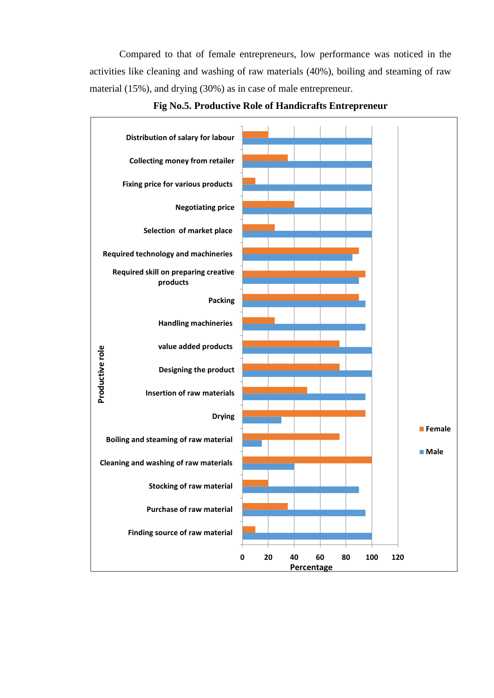Compared to that of female entrepreneurs, low performance was noticed in the activities like cleaning and washing of raw materials (40%), boiling and steaming of raw material (15%), and drying (30%) as in case of male entrepreneur.



**Fig No.5. Productive Role of Handicrafts Entrepreneur**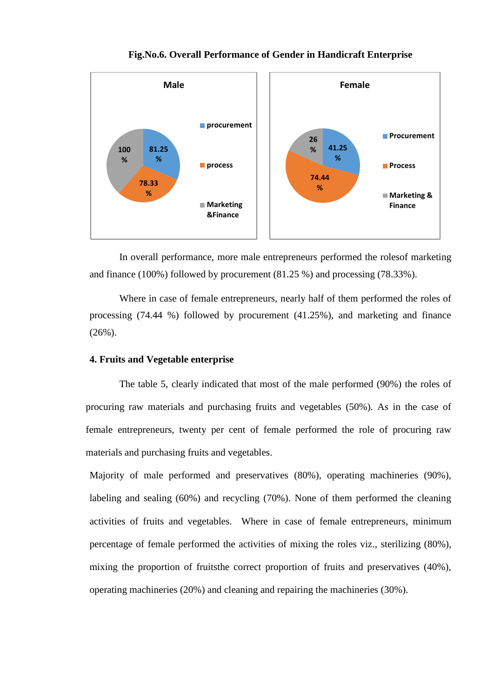

# **Fig.No.6. Overall Performance of Gender in Handicraft Enterprise**

In overall performance, more male entrepreneurs performed the rolesof marketing and finance (100%) followed by procurement (81.25 %) and processing (78.33%).

Where in case of female entrepreneurs, nearly half of them performed the roles of processing (74.44 %) followed by procurement (41.25%), and marketing and finance (26%).

# **4. Fruits and Vegetable enterprise**

The table 5, clearly indicated that most of the male performed (90%) the roles of procuring raw materials and purchasing fruits and vegetables (50%). As in the case of female entrepreneurs, twenty per cent of female performed the role of procuring raw materials and purchasing fruits and vegetables.

Majority of male performed and preservatives (80%), operating machineries (90%), labeling and sealing (60%) and recycling (70%). None of them performed the cleaning activities of fruits and vegetables. Where in case of female entrepreneurs, minimum percentage of female performed the activities of mixing the roles viz., sterilizing (80%), mixing the proportion of fruitsthe correct proportion of fruits and preservatives (40%), operating machineries (20%) and cleaning and repairing the machineries (30%).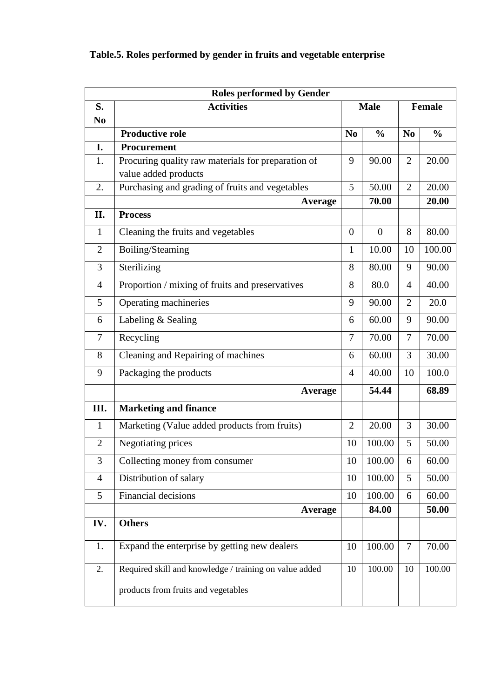|                | <b>Roles performed by Gender</b>                                           |                |                |                |               |  |  |  |
|----------------|----------------------------------------------------------------------------|----------------|----------------|----------------|---------------|--|--|--|
| S.             | <b>Activities</b>                                                          |                | <b>Male</b>    |                | Female        |  |  |  |
| N <sub>0</sub> |                                                                            |                |                |                |               |  |  |  |
|                | <b>Productive role</b>                                                     | N <sub>0</sub> | $\frac{0}{0}$  | N <sub>0</sub> | $\frac{0}{0}$ |  |  |  |
| I.             | Procurement                                                                |                |                |                |               |  |  |  |
| 1.             | Procuring quality raw materials for preparation of<br>value added products | 9              | 90.00          | $\overline{2}$ | 20.00         |  |  |  |
| 2.             | Purchasing and grading of fruits and vegetables                            | 5              | 50.00          | $\overline{2}$ | 20.00         |  |  |  |
|                | Average                                                                    |                | 70.00          |                | 20.00         |  |  |  |
| П.             | <b>Process</b>                                                             |                |                |                |               |  |  |  |
| $\mathbf{1}$   | Cleaning the fruits and vegetables                                         | $\overline{0}$ | $\overline{0}$ | 8              | 80.00         |  |  |  |
| $\mathfrak{2}$ | Boiling/Steaming                                                           | $\mathbf{1}$   | 10.00          | 10             | 100.00        |  |  |  |
| 3              | Sterilizing                                                                | 8              | 80.00          | 9              | 90.00         |  |  |  |
| $\overline{4}$ | Proportion / mixing of fruits and preservatives                            | 8              | 80.0           | 4              | 40.00         |  |  |  |
| 5              | Operating machineries                                                      | 9              | 90.00          | $\overline{2}$ | 20.0          |  |  |  |
| 6              | Labeling & Sealing                                                         | 6              | 60.00          | 9              | 90.00         |  |  |  |
| 7              | Recycling                                                                  | 7              | 70.00          | 7              | 70.00         |  |  |  |
| 8              | Cleaning and Repairing of machines                                         | 6              | 60.00          | 3              | 30.00         |  |  |  |
| 9              | Packaging the products                                                     | $\overline{4}$ | 40.00          | 10             | 100.0         |  |  |  |
|                | Average                                                                    |                | 54.44          |                | 68.89         |  |  |  |
| Ш.             | <b>Marketing and finance</b>                                               |                |                |                |               |  |  |  |
| $\mathbf{1}$   | Marketing (Value added products from fruits)                               | $\overline{2}$ | 20.00          | 3              | 30.00         |  |  |  |
| $\overline{2}$ | Negotiating prices                                                         | 10             | 100.00         | 5              | 50.00         |  |  |  |
| 3              | Collecting money from consumer                                             | 10             | 100.00         | 6              | 60.00         |  |  |  |
| $\overline{4}$ | Distribution of salary                                                     | 10             | 100.00         | 5              | 50.00         |  |  |  |
| 5              | Financial decisions                                                        | 10             | 100.00         | 6              | 60.00         |  |  |  |
|                | <b>Average</b>                                                             |                | 84.00          |                | 50.00         |  |  |  |
| IV.            | <b>Others</b>                                                              |                |                |                |               |  |  |  |
| 1.             | Expand the enterprise by getting new dealers                               | 10             | 100.00         | $\overline{7}$ | 70.00         |  |  |  |
| 2.             | Required skill and knowledge / training on value added                     | 10             | 100.00         | 10             | 100.00        |  |  |  |
|                | products from fruits and vegetables                                        |                |                |                |               |  |  |  |

# **Table.5. Roles performed by gender in fruits and vegetable enterprise**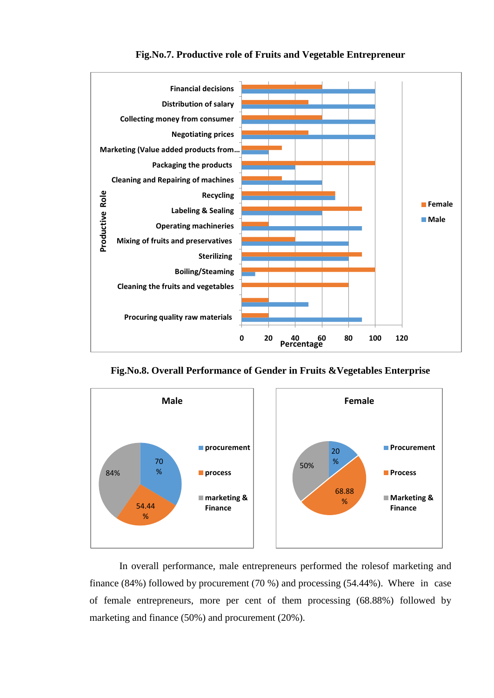

### **Fig.No.7. Productive role of Fruits and Vegetable Entrepreneur**

**Fig.No.8. Overall Performance of Gender in Fruits &Vegetables Enterprise**



In overall performance, male entrepreneurs performed the rolesof marketing and finance (84%) followed by procurement (70 %) and processing (54.44%). Where in case of female entrepreneurs, more per cent of them processing (68.88%) followed by marketing and finance (50%) and procurement (20%).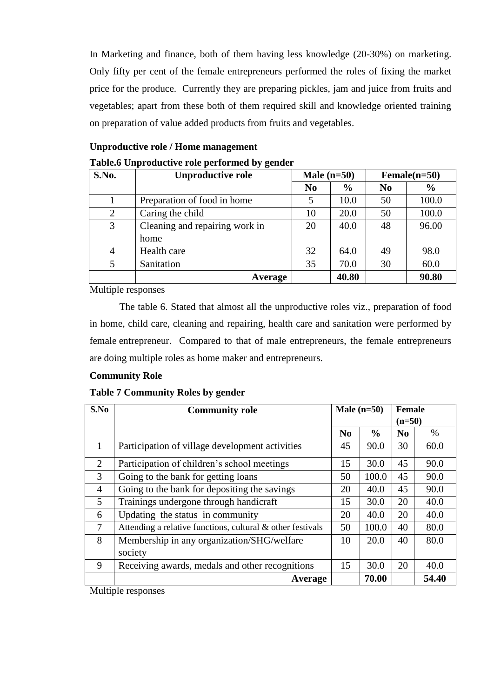In Marketing and finance, both of them having less knowledge (20-30%) on marketing. Only fifty per cent of the female entrepreneurs performed the roles of fixing the market price for the produce. Currently they are preparing pickles, jam and juice from fruits and vegetables; apart from these both of them required skill and knowledge oriented training on preparation of value added products from fruits and vegetables.

| S.No. | <b>Unproductive role</b>       | Male $(n=50)$  |               |                | $Female(n=50)$ |
|-------|--------------------------------|----------------|---------------|----------------|----------------|
|       |                                | N <sub>0</sub> | $\frac{6}{9}$ | N <sub>0</sub> | $\frac{6}{6}$  |
|       | Preparation of food in home    |                | 10.0          | 50             | 100.0          |
| 2     | Caring the child               | 10             | 20.0          | 50             | 100.0          |
| 3     | Cleaning and repairing work in | 20             | 40.0          | 48             | 96.00          |
|       | home                           |                |               |                |                |
| 4     | Health care                    | 32             | 64.0          | 49             | 98.0           |
| 5     | Sanitation                     | 35             | 70.0          | 30             | 60.0           |
|       | Average                        |                | 40.80         |                | 90.80          |

**Unproductive role / Home management** 

Multiple responses

The table 6. Stated that almost all the unproductive roles viz., preparation of food in home, child care, cleaning and repairing, health care and sanitation were performed by female entrepreneur. Compared to that of male entrepreneurs, the female entrepreneurs are doing multiple roles as home maker and entrepreneurs.

# **Community Role**

# **Table 7 Community Roles by gender**

| S.No           | <b>Community role</b>                                      | Male $(n=50)$  |               | <b>Female</b><br>$(n=50)$ |      |
|----------------|------------------------------------------------------------|----------------|---------------|---------------------------|------|
|                |                                                            | N <sub>0</sub> | $\frac{0}{0}$ | N <sub>0</sub>            | $\%$ |
| $\mathbf{1}$   | Participation of village development activities            | 45             | 90.0          | 30                        | 60.0 |
| 2              | Participation of children's school meetings                | 15             | 30.0          | 45                        | 90.0 |
| 3              | Going to the bank for getting loans                        | 50             | 100.0         | 45                        | 90.0 |
| $\overline{4}$ | Going to the bank for depositing the savings               | 20             | 40.0          | 45                        | 90.0 |
| $\mathfrak{S}$ | Trainings undergone through handicraft                     | 15             | 30.0          | 20                        | 40.0 |
| 6              | Updating the status in community                           | 20             | 40.0          | 20                        | 40.0 |
| 7              | Attending a relative functions, cultural & other festivals | 50             | 100.0         | 40                        | 80.0 |
| 8              | Membership in any organization/SHG/welfare                 | 10             | 20.0          | 40                        | 80.0 |
|                | society                                                    |                |               |                           |      |
| 9              | Receiving awards, medals and other recognitions            | 15             | 30.0          | 20                        | 40.0 |
|                | Average                                                    | 70.00          |               | 54.40                     |      |

Multiple responses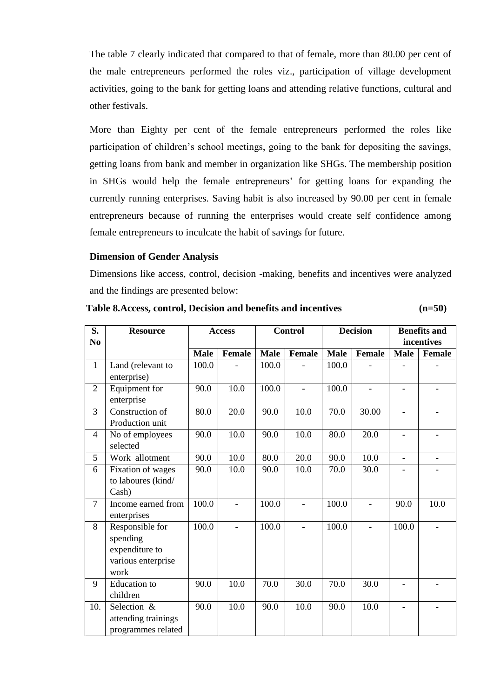The table 7 clearly indicated that compared to that of female, more than 80.00 per cent of the male entrepreneurs performed the roles viz., participation of village development activities, going to the bank for getting loans and attending relative functions, cultural and other festivals.

More than Eighty per cent of the female entrepreneurs performed the roles like participation of children's school meetings, going to the bank for depositing the savings, getting loans from bank and member in organization like SHGs. The membership position in SHGs would help the female entrepreneurs' for getting loans for expanding the currently running enterprises. Saving habit is also increased by 90.00 per cent in female entrepreneurs because of running the enterprises would create self confidence among female entrepreneurs to inculcate the habit of savings for future.

### **Dimension of Gender Analysis**

attending trainings programmes related

Dimensions like access, control, decision -making, benefits and incentives were analyzed and the findings are presented below:

#### **S. No Resource Access Control Decision Benefits and incentives Male Female Male Female Male Female Male Female** 1 Land (relevant to enterprise)  $100.0$  -  $|100.0|$  -  $|100.0|$  -  $|$  -2 Equipment for enterprise  $90.0$  | 10.0 | 100.0 | - | 100.0 | - | - | -3 Construction of Production unit  $80.0$  | 20.0 | 90.0 | 10.0 | 70.0 | 30.00 | - | -4 No of employees selected 90.0 | 10.0 | 90.0 | 10.0 | 80.0 | 20.0 | - | -5 Work allotment 90.0 10.0 80.0 20.0 90.0 10.0 -6 Fixation of wages to laboures (kind/ Cash) 90.0 | 10.0 | 90.0 | 10.0 | 70.0 | 30.0 | - | -7 Income earned from enterprises 100.0 - 100.0 - 100.0 - 90.0 10.0 8 Responsible for spending expenditure to various enterprise work 100.0 - 100.0 - 100.0 - 100.0 -9 Education to children 90.0 | 10.0 | 70.0 | 30.0 | 70.0 | 30.0 | - | -10. Selection & 90.0 | 10.0 | 90.0 | 10.0 | 90.0 | 10.0 | - | -

**Table 8.Access, control, Decision and benefits and incentives (n=50)**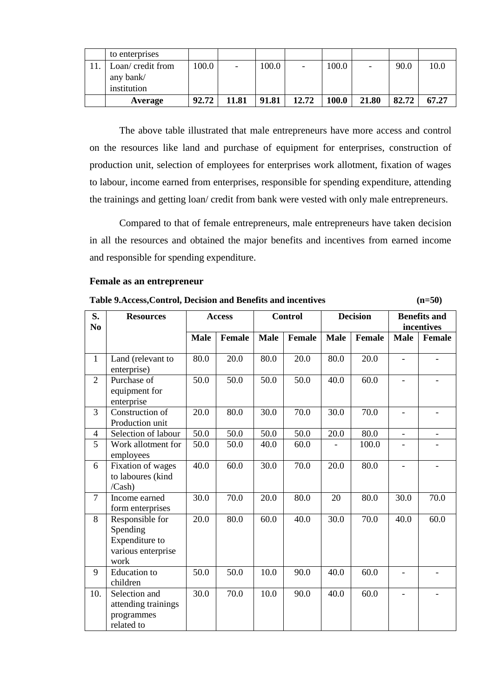| to enterprises                |       |                          |       |       |       |                          |       |       |
|-------------------------------|-------|--------------------------|-------|-------|-------|--------------------------|-------|-------|
| Loan/credit from<br>any bank/ | 100.0 | $\overline{\phantom{0}}$ | 100.0 |       | 100.0 | $\overline{\phantom{a}}$ | 90.0  | 10.0  |
| institution                   |       |                          |       |       |       |                          |       |       |
| Average                       | 92.72 | 11.81                    | 91.81 | 12.72 | 100.0 | 21.80                    | 82.72 | 67.27 |

The above table illustrated that male entrepreneurs have more access and control on the resources like land and purchase of equipment for enterprises, construction of production unit, selection of employees for enterprises work allotment, fixation of wages to labour, income earned from enterprises, responsible for spending expenditure, attending the trainings and getting loan/ credit from bank were vested with only male entrepreneurs.

Compared to that of female entrepreneurs, male entrepreneurs have taken decision in all the resources and obtained the major benefits and incentives from earned income and responsible for spending expenditure.

**Table 9.Access,Control, Decision and Benefits and incentives (n=50)**

### **Female as an entrepreneur**

| S.<br>No       | <b>Resources</b>                                                            |             | <b>Access</b> |             | <b>Control</b> | <b>Decision</b> |               | <b>Benefits and</b><br>incentives |                          |
|----------------|-----------------------------------------------------------------------------|-------------|---------------|-------------|----------------|-----------------|---------------|-----------------------------------|--------------------------|
|                |                                                                             | <b>Male</b> | <b>Female</b> | <b>Male</b> | <b>Female</b>  | <b>Male</b>     | <b>Female</b> | <b>Male</b>                       | Female                   |
| $\mathbf{1}$   | Land (relevant to<br>enterprise)                                            | 80.0        | 20.0          | 80.0        | 20.0           | 80.0            | 20.0          |                                   |                          |
| $\overline{2}$ | Purchase of<br>equipment for<br>enterprise                                  | 50.0        | 50.0          | 50.0        | 50.0           | 40.0            | 60.0          |                                   |                          |
| 3              | Construction of<br>Production unit                                          | 20.0        | 80.0          | 30.0        | 70.0           | 30.0            | 70.0          | $\overline{\phantom{0}}$          | $\overline{\phantom{a}}$ |
| 4              | Selection of labour                                                         | 50.0        | 50.0          | 50.0        | 50.0           | 20.0            | 80.0          | $\blacksquare$                    |                          |
| 5              | Work allotment for<br>employees                                             | 50.0        | 50.0          | 40.0        | 60.0           |                 | 100.0         |                                   |                          |
| 6              | Fixation of wages<br>to laboures (kind<br>/Cash)                            | 40.0        | 60.0          | 30.0        | 70.0           | 20.0            | 80.0          |                                   |                          |
| $\overline{7}$ | Income earned<br>form enterprises                                           | 30.0        | 70.0          | 20.0        | 80.0           | 20              | 80.0          | 30.0                              | 70.0                     |
| 8              | Responsible for<br>Spending<br>Expenditure to<br>various enterprise<br>work | 20.0        | 80.0          | 60.0        | 40.0           | 30.0            | 70.0          | 40.0                              | 60.0                     |
| 9              | <b>Education</b> to<br>children                                             | 50.0        | 50.0          | 10.0        | 90.0           | 40.0            | 60.0          |                                   |                          |
| 10.            | Selection and<br>attending trainings<br>programmes<br>related to            | 30.0        | 70.0          | 10.0        | 90.0           | 40.0            | 60.0          |                                   | $\overline{\phantom{a}}$ |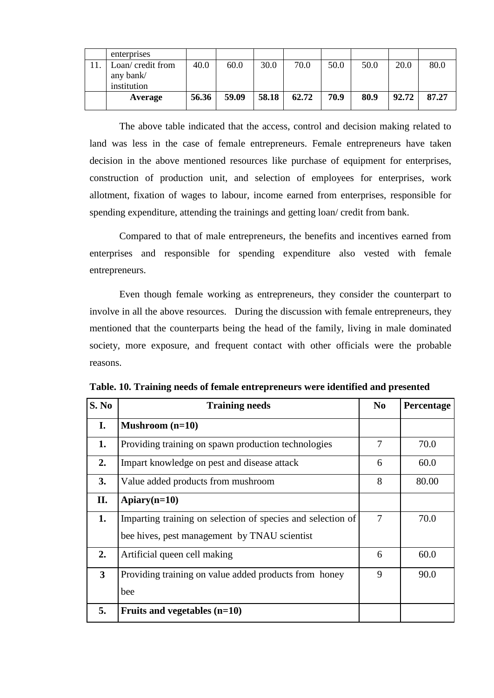| enterprises       |       |       |       |       |      |      |       |       |
|-------------------|-------|-------|-------|-------|------|------|-------|-------|
| Loan/ credit from | 40.0  | 60.0  | 30.0  | 70.0  | 50.0 | 50.0 | 20.0  | 80.0  |
| any bank/         |       |       |       |       |      |      |       |       |
| institution       |       |       |       |       |      |      |       |       |
| Average           | 56.36 | 59.09 | 58.18 | 62.72 | 70.9 | 80.9 | 92.72 | 87.27 |

The above table indicated that the access, control and decision making related to land was less in the case of female entrepreneurs. Female entrepreneurs have taken decision in the above mentioned resources like purchase of equipment for enterprises, construction of production unit, and selection of employees for enterprises, work allotment, fixation of wages to labour, income earned from enterprises, responsible for spending expenditure, attending the trainings and getting loan/ credit from bank.

Compared to that of male entrepreneurs, the benefits and incentives earned from enterprises and responsible for spending expenditure also vested with female entrepreneurs.

Even though female working as entrepreneurs, they consider the counterpart to involve in all the above resources. During the discussion with female entrepreneurs, they mentioned that the counterparts being the head of the family, living in male dominated society, more exposure, and frequent contact with other officials were the probable reasons.

| S. No        | <b>Training needs</b>                                       | N <sub>0</sub> | Percentage |
|--------------|-------------------------------------------------------------|----------------|------------|
| I.           | Mushroom $(n=10)$                                           |                |            |
| 1.           | Providing training on spawn production technologies         | $\overline{7}$ | 70.0       |
| 2.           | Impart knowledge on pest and disease attack                 | 6              | 60.0       |
| 3.           | Value added products from mushroom                          | 8              | 80.00      |
| П.           | Apiary $(n=10)$                                             |                |            |
| 1.           | Imparting training on selection of species and selection of | $\overline{7}$ | 70.0       |
|              | bee hives, pest management by TNAU scientist                |                |            |
| 2.           | Artificial queen cell making                                | 6              | 60.0       |
| $\mathbf{3}$ | Providing training on value added products from honey       | 9              | 90.0       |
|              | bee                                                         |                |            |
| 5.           | Fruits and vegetables $(n=10)$                              |                |            |

**Table. 10. Training needs of female entrepreneurs were identified and presented**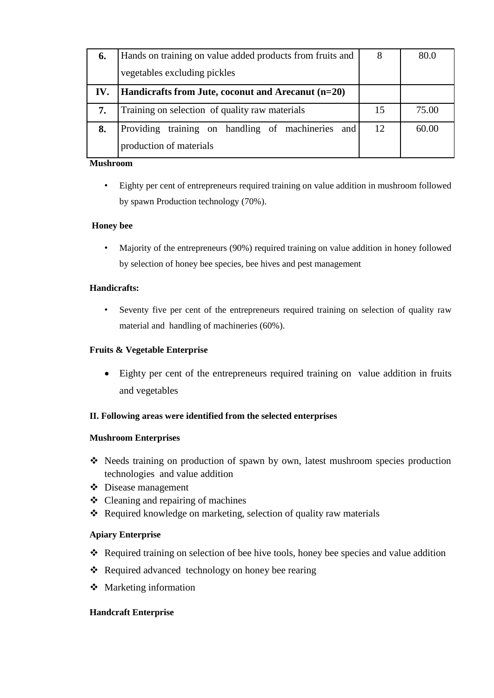| 6.  | Hands on training on value added products from fruits and | 8  | 80.0  |
|-----|-----------------------------------------------------------|----|-------|
|     | vegetables excluding pickles                              |    |       |
| IV. | Handicrafts from Jute, coconut and Arecanut (n=20)        |    |       |
| 7.  | Training on selection of quality raw materials            | 15 | 75.00 |
| 8.  | Providing training on handling of machineries and         | 12 | 60.00 |
|     | production of materials                                   |    |       |

### **Mushroom**

• Eighty per cent of entrepreneurs required training on value addition in mushroom followed by spawn Production technology (70%).

### **Honey bee**

• Majority of the entrepreneurs (90%) required training on value addition in honey followed by selection of honey bee species, bee hives and pest management

### **Handicrafts:**

Seventy five per cent of the entrepreneurs required training on selection of quality raw material and handling of machineries (60%).

### **Fruits & Vegetable Enterprise**

 Eighty per cent of the entrepreneurs required training on value addition in fruits and vegetables

# **II. Following areas were identified from the selected enterprises**

### **Mushroom Enterprises**

- Needs training on production of spawn by own, latest mushroom species production technologies and value addition
- Disease management
- $\triangleleft$  Cleaning and repairing of machines
- Required knowledge on marketing, selection of quality raw materials

# **Apiary Enterprise**

- \* Required training on selection of bee hive tools, honey bee species and value addition
- ❖ Required advanced technology on honey bee rearing
- Marketing information

### **Handcraft Enterprise**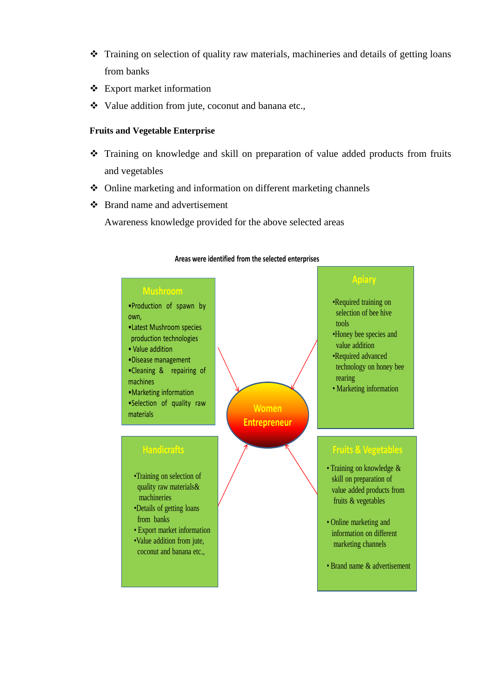- Training on selection of quality raw materials, machineries and details of getting loans from banks
- Export market information
- \* Value addition from jute, coconut and banana etc.,

### **Fruits and Vegetable Enterprise**

- Training on knowledge and skill on preparation of value added products from fruits and vegetables
- Online marketing and information on different marketing channels
- Brand name and advertisement

Awareness knowledge provided for the above selected areas



### **Areas were identified from the selected enterprises**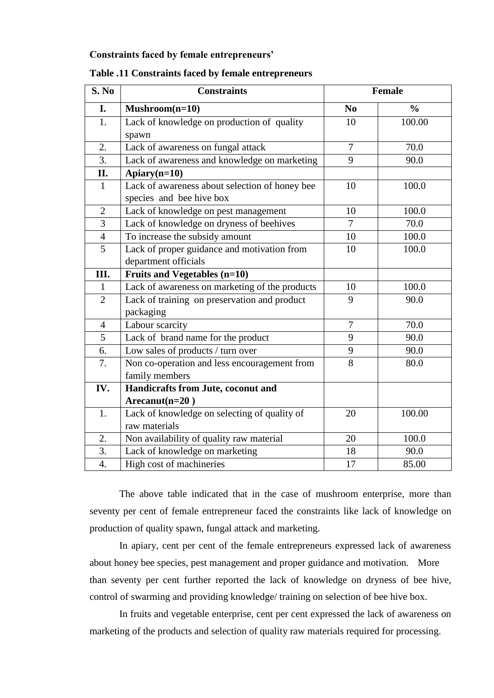### **Constraints faced by female entrepreneurs'**

| S. No            | <b>Constraints</b>                             |                | <b>Female</b> |
|------------------|------------------------------------------------|----------------|---------------|
| I.               | $Mushroom(n=10)$                               | N <sub>0</sub> | $\frac{0}{0}$ |
| 1.               | Lack of knowledge on production of quality     | 10             | 100.00        |
|                  | spawn                                          |                |               |
| 2.               | Lack of awareness on fungal attack             | $\overline{7}$ | 70.0          |
| $\overline{3}$ . | Lack of awareness and knowledge on marketing   | 9              | 90.0          |
| II.              | Apiary(n=10)                                   |                |               |
| $\mathbf{1}$     | Lack of awareness about selection of honey bee | 10             | 100.0         |
|                  | species and bee hive box                       |                |               |
| $\overline{2}$   | Lack of knowledge on pest management           | 10             | 100.0         |
| 3                | Lack of knowledge on dryness of beehives       | $\overline{7}$ | 70.0          |
| $\overline{4}$   | To increase the subsidy amount                 | 10             | 100.0         |
| $\overline{5}$   | Lack of proper guidance and motivation from    | 10             | 100.0         |
|                  | department officials                           |                |               |
| Ш.               | <b>Fruits and Vegetables (n=10)</b>            |                |               |
| $\mathbf{1}$     | Lack of awareness on marketing of the products | 10             | 100.0         |
| $\overline{2}$   | Lack of training on preservation and product   | 9              | 90.0          |
|                  | packaging                                      |                |               |
| $\overline{4}$   | Labour scarcity                                | $\overline{7}$ | 70.0          |
| 5                | Lack of brand name for the product             | 9              | 90.0          |
| 6.               | Low sales of products / turn over              | 9              | 90.0          |
| 7.               | Non co-operation and less encouragement from   | 8              | 80.0          |
|                  | family members                                 |                |               |
| IV.              | Handicrafts from Jute, coconut and             |                |               |
|                  | $Areanut(n=20)$                                |                |               |
| 1.               | Lack of knowledge on selecting of quality of   | 20             | 100.00        |
|                  | raw materials                                  |                |               |
| 2.               | Non availability of quality raw material       | 20             | 100.0         |
| 3.               | Lack of knowledge on marketing                 | 18             | 90.0          |
| $\overline{4}$ . | High cost of machineries                       | 17             | 85.00         |

### **Table .11 Constraints faced by female entrepreneurs**

The above table indicated that in the case of mushroom enterprise, more than seventy per cent of female entrepreneur faced the constraints like lack of knowledge on production of quality spawn, fungal attack and marketing.

In apiary, cent per cent of the female entrepreneurs expressed lack of awareness about honey bee species, pest management and proper guidance and motivation. More than seventy per cent further reported the lack of knowledge on dryness of bee hive, control of swarming and providing knowledge/ training on selection of bee hive box.

In fruits and vegetable enterprise, cent per cent expressed the lack of awareness on marketing of the products and selection of quality raw materials required for processing.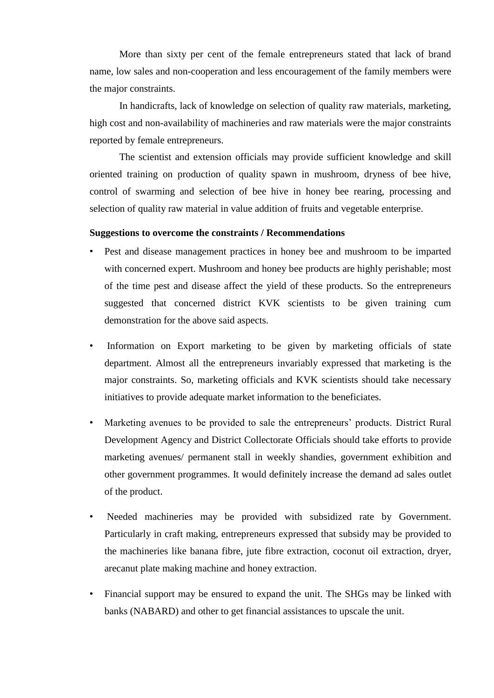More than sixty per cent of the female entrepreneurs stated that lack of brand name, low sales and non-cooperation and less encouragement of the family members were the major constraints.

In handicrafts, lack of knowledge on selection of quality raw materials, marketing, high cost and non-availability of machineries and raw materials were the major constraints reported by female entrepreneurs.

The scientist and extension officials may provide sufficient knowledge and skill oriented training on production of quality spawn in mushroom, dryness of bee hive, control of swarming and selection of bee hive in honey bee rearing, processing and selection of quality raw material in value addition of fruits and vegetable enterprise.

### **Suggestions to overcome the constraints / Recommendations**

- Pest and disease management practices in honey bee and mushroom to be imparted with concerned expert. Mushroom and honey bee products are highly perishable; most of the time pest and disease affect the yield of these products. So the entrepreneurs suggested that concerned district KVK scientists to be given training cum demonstration for the above said aspects.
- Information on Export marketing to be given by marketing officials of state department. Almost all the entrepreneurs invariably expressed that marketing is the major constraints. So, marketing officials and KVK scientists should take necessary initiatives to provide adequate market information to the beneficiates.
- Marketing avenues to be provided to sale the entrepreneurs' products. District Rural Development Agency and District Collectorate Officials should take efforts to provide marketing avenues/ permanent stall in weekly shandies, government exhibition and other government programmes. It would definitely increase the demand ad sales outlet of the product.
- Needed machineries may be provided with subsidized rate by Government. Particularly in craft making, entrepreneurs expressed that subsidy may be provided to the machineries like banana fibre, jute fibre extraction, coconut oil extraction, dryer, arecanut plate making machine and honey extraction.
- Financial support may be ensured to expand the unit. The SHGs may be linked with banks (NABARD) and other to get financial assistances to upscale the unit.